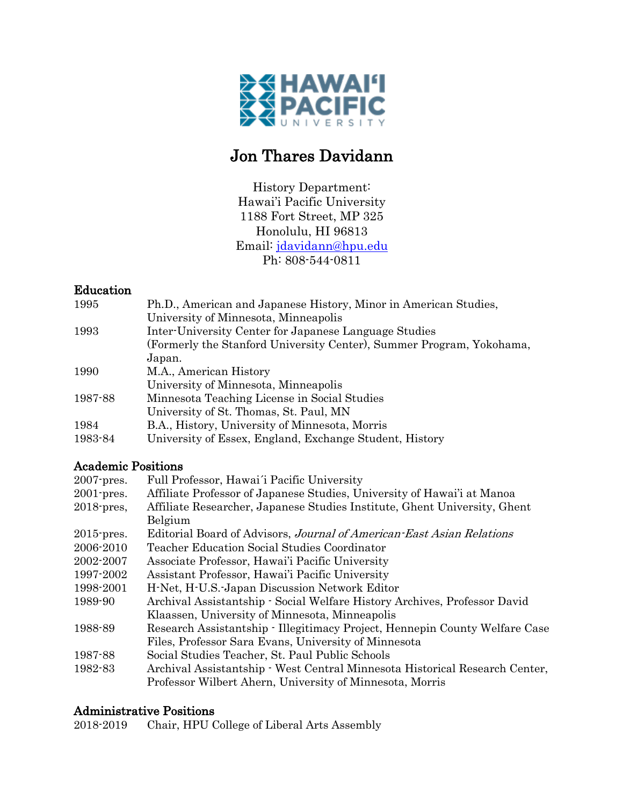

# Jon Thares Davidann

History Department: Hawai'i Pacific University 1188 Fort Street, MP 325 Honolulu, HI 96813 Email: jdavidann@hpu.edu Ph: 808-544-0811

# Education

| 1995    | Ph.D., American and Japanese History, Minor in American Studies,     |
|---------|----------------------------------------------------------------------|
|         | University of Minnesota, Minneapolis                                 |
| 1993    | Inter-University Center for Japanese Language Studies                |
|         | (Formerly the Stanford University Center), Summer Program, Yokohama, |
|         | Japan.                                                               |
| 1990    | M.A., American History                                               |
|         | University of Minnesota, Minneapolis                                 |
| 1987-88 | Minnesota Teaching License in Social Studies                         |
|         | University of St. Thomas, St. Paul, MN                               |
| 1984    | B.A., History, University of Minnesota, Morris                       |
| 1983-84 | University of Essex, England, Exchange Student, History              |

# Academic Positions

| $2007$ -pres. | Full Professor, Hawai'i Pacific University                                   |
|---------------|------------------------------------------------------------------------------|
| $2001$ -pres. | Affiliate Professor of Japanese Studies, University of Hawai'i at Manoa      |
| $2018$ -pres, | Affiliate Researcher, Japanese Studies Institute, Ghent University, Ghent    |
|               | Belgium                                                                      |
| $2015$ -pres. | Editorial Board of Advisors, <i>Journal of American East Asian Relations</i> |
| 2006-2010     | Teacher Education Social Studies Coordinator                                 |
| 2002-2007     | Associate Professor, Hawai'i Pacific University                              |
| 1997-2002     | Assistant Professor, Hawai'i Pacific University                              |
| 1998-2001     | H-Net, H-U.S.-Japan Discussion Network Editor                                |
| 1989-90       | Archival Assistantship - Social Welfare History Archives, Professor David    |
|               | Klaassen, University of Minnesota, Minneapolis                               |
| 1988-89       | Research Assistantship - Illegitimacy Project, Hennepin County Welfare Case  |
|               | Files, Professor Sara Evans, University of Minnesota                         |
| 1987-88       | Social Studies Teacher, St. Paul Public Schools                              |
| 1982-83       | Archival Assistantship · West Central Minnesota Historical Research Center,  |
|               | Professor Wilbert Ahern, University of Minnesota, Morris                     |

### Administrative Positions

2018-2019 Chair, HPU College of Liberal Arts Assembly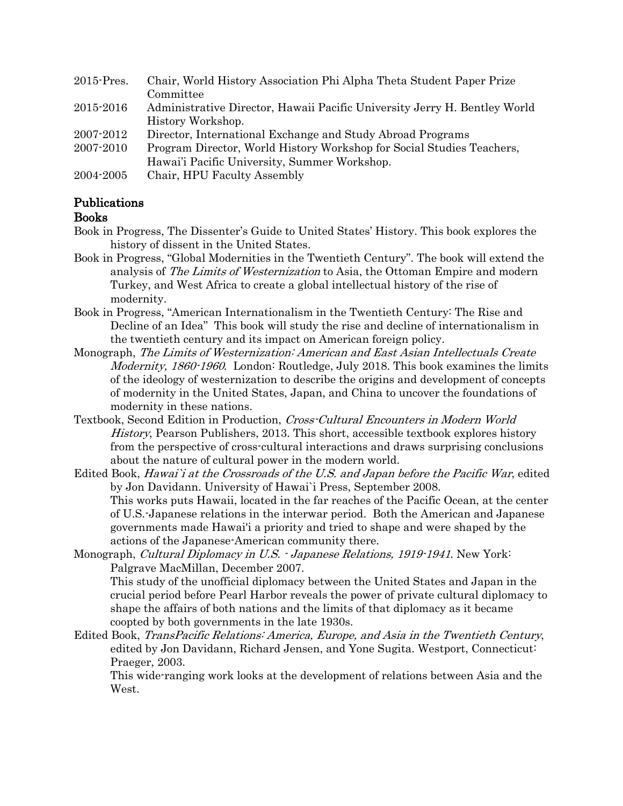| $2015$ -Pres. | Chair, World History Association Phi Alpha Theta Student Paper Prize      |
|---------------|---------------------------------------------------------------------------|
|               | Committee                                                                 |
| 2015-2016     | Administrative Director, Hawaii Pacific University Jerry H. Bentley World |
|               | History Workshop.                                                         |
| 2007-2012     | Director, International Exchange and Study Abroad Programs                |
| 2007-2010     | Program Director, World History Workshop for Social Studies Teachers,     |
|               | Hawai'i Pacific University, Summer Workshop.                              |
| 2004-2005     | Chair, HPU Faculty Assembly                                               |

## Publications

#### Books

- Book in Progress, The Dissenter's Guide to United States' History. This book explores the history of dissent in the United States.
- Book in Progress, "Global Modernities in the Twentieth Century". The book will extend the analysis of The Limits of Westernization to Asia, the Ottoman Empire and modern Turkey, and West Africa to create a global intellectual history of the rise of modernity.
- Book in Progress, "American Internationalism in the Twentieth Century: The Rise and Decline of an Idea" This book will study the rise and decline of internationalism in the twentieth century and its impact on American foreign policy.
- Monograph, The Limits of Westernization: American and East Asian Intellectuals Create Modernity, 1860-1960. London: Routledge, July 2018. This book examines the limits of the ideology of westernization to describe the origins and development of concepts of modernity in the United States, Japan, and China to uncover the foundations of modernity in these nations.
- Textbook, Second Edition in Production, Cross-Cultural Encounters in Modern World History, Pearson Publishers, 2013. This short, accessible textbook explores history from the perspective of cross-cultural interactions and draws surprising conclusions about the nature of cultural power in the modern world.
- Edited Book, Hawai`i at the Crossroads of the U.S. and Japan before the Pacific War, edited by Jon Davidann. University of Hawai`i Press, September 2008. This works puts Hawaii, located in the far reaches of the Pacific Ocean, at the center of U.S.-Japanese relations in the interwar period. Both the American and Japanese governments made Hawai'i a priority and tried to shape and were shaped by the actions of the Japanese-American community there.
- Monograph, Cultural Diplomacy in U.S. Japanese Relations, 1919-1941. New York: Palgrave MacMillan, December 2007.

This study of the unofficial diplomacy between the United States and Japan in the crucial period before Pearl Harbor reveals the power of private cultural diplomacy to shape the affairs of both nations and the limits of that diplomacy as it became coopted by both governments in the late 1930s.

Edited Book, TransPacific Relations: America, Europe, and Asia in the Twentieth Century, edited by Jon Davidann, Richard Jensen, and Yone Sugita. Westport, Connecticut: Praeger, 2003.

This wide-ranging work looks at the development of relations between Asia and the West.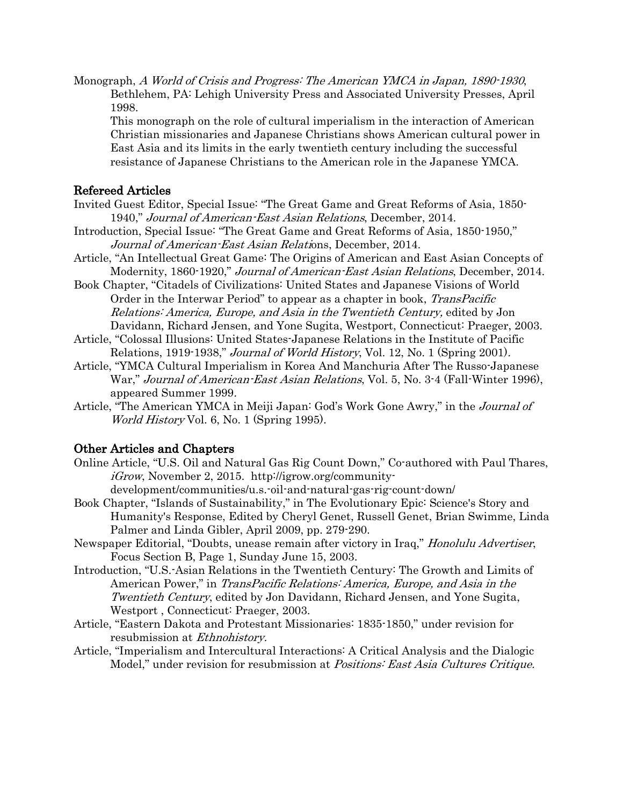Monograph, A World of Crisis and Progress: The American YMCA in Japan, 1890-1930, Bethlehem, PA: Lehigh University Press and Associated University Presses, April 1998.

This monograph on the role of cultural imperialism in the interaction of American Christian missionaries and Japanese Christians shows American cultural power in East Asia and its limits in the early twentieth century including the successful resistance of Japanese Christians to the American role in the Japanese YMCA.

#### Refereed Articles

- Invited Guest Editor, Special Issue: "The Great Game and Great Reforms of Asia, 1850- 1940," Journal of American-East Asian Relations, December, 2014.
- Introduction, Special Issue: "The Great Game and Great Reforms of Asia, 1850-1950," Journal of American-East Asian Relations, December, 2014.
- Article, "An Intellectual Great Game: The Origins of American and East Asian Concepts of Modernity, 1860-1920," Journal of American-East Asian Relations, December, 2014.
- Book Chapter, "Citadels of Civilizations: United States and Japanese Visions of World Order in the Interwar Period" to appear as a chapter in book, *TransPacific* Relations: America, Europe, and Asia in the Twentieth Century, edited by Jon Davidann, Richard Jensen, and Yone Sugita, Westport, Connecticut: Praeger, 2003.
- Article, "Colossal Illusions: United States-Japanese Relations in the Institute of Pacific Relations, 1919-1938," Journal of World History, Vol. 12, No. 1 (Spring 2001).
- Article, "YMCA Cultural Imperialism in Korea And Manchuria After The Russo-Japanese War," Journal of American-East Asian Relations, Vol. 5, No. 3-4 (Fall-Winter 1996), appeared Summer 1999.
- Article, "The American YMCA in Meiji Japan: God's Work Gone Awry," in the Journal of World History Vol. 6, No. 1 (Spring 1995).

#### Other Articles and Chapters

- Online Article, "U.S. Oil and Natural Gas Rig Count Down," Co-authored with Paul Thares, iGrow, November 2, 2015. http://igrow.org/communitydevelopment/communities/u.s.-oil-and-natural-gas-rig-count-down/
- Book Chapter, "Islands of Sustainability," in The Evolutionary Epic: Science's Story and Humanity's Response, Edited by Cheryl Genet, Russell Genet, Brian Swimme, Linda Palmer and Linda Gibler, April 2009, pp. 279-290.
- Newspaper Editorial, "Doubts, unease remain after victory in Iraq," Honolulu Advertiser, Focus Section B, Page 1, Sunday June 15, 2003.
- Introduction, "U.S.-Asian Relations in the Twentieth Century: The Growth and Limits of American Power," in TransPacific Relations: America, Europe, and Asia in the Twentieth Century, edited by Jon Davidann, Richard Jensen, and Yone Sugita, Westport , Connecticut: Praeger, 2003.
- Article, "Eastern Dakota and Protestant Missionaries: 1835-1850," under revision for resubmission at Ethnohistory.
- Article, "Imperialism and Intercultural Interactions: A Critical Analysis and the Dialogic Model," under revision for resubmission at *Positions: East Asia Cultures Critique.*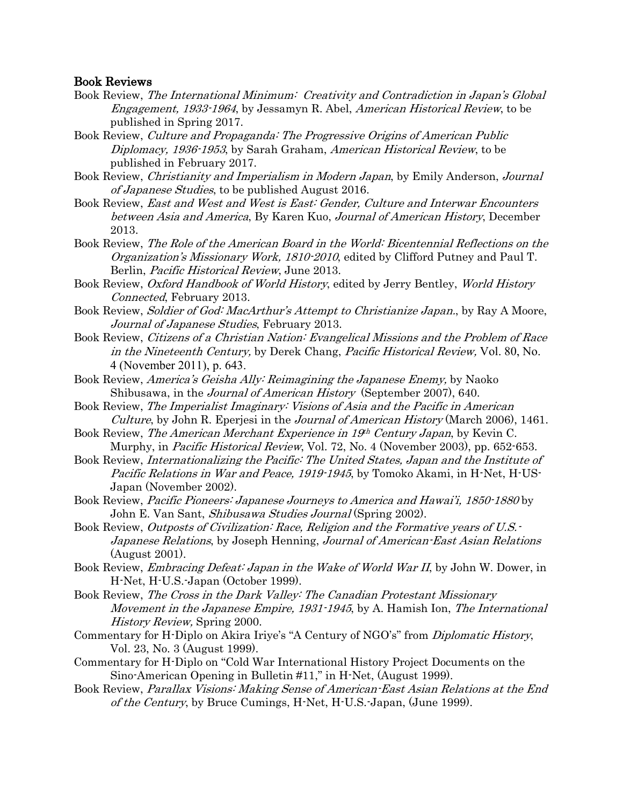#### Book Reviews

- Book Review, The International Minimum: Creativity and Contradiction in Japan's Global Engagement, 1933-1964, by Jessamyn R. Abel, American Historical Review, to be published in Spring 2017.
- Book Review, Culture and Propaganda: The Progressive Origins of American Public Diplomacy, 1936-1953, by Sarah Graham, American Historical Review, to be published in February 2017.
- Book Review, Christianity and Imperialism in Modern Japan, by Emily Anderson, Journal of Japanese Studies, to be published August 2016.
- Book Review, East and West and West is East: Gender, Culture and Interwar Encounters between Asia and America, By Karen Kuo, Journal of American History, December 2013.
- Book Review, The Role of the American Board in the World: Bicentennial Reflections on the Organization's Missionary Work, 1810-2010, edited by Clifford Putney and Paul T. Berlin, Pacific Historical Review, June 2013.
- Book Review, Oxford Handbook of World History, edited by Jerry Bentley, World History Connected, February 2013.
- Book Review, Soldier of God: MacArthur's Attempt to Christianize Japan., by Ray A Moore, Journal of Japanese Studies, February 2013.
- Book Review, Citizens of a Christian Nation: Evangelical Missions and the Problem of Race in the Nineteenth Century, by Derek Chang, Pacific Historical Review, Vol. 80, No. 4 (November 2011), p. 643.
- Book Review, America's Geisha Ally: Reimagining the Japanese Enemy, by Naoko Shibusawa, in the Journal of American History (September 2007), 640.
- Book Review, The Imperialist Imaginary: Visions of Asia and the Pacific in American Culture, by John R. Eperjesi in the Journal of American History (March 2006), 1461.
- Book Review, The American Merchant Experience in  $19<sup>th</sup>$  Century Japan, by Kevin C. Murphy, in *Pacific Historical Review*, Vol. 72, No. 4 (November 2003), pp. 652-653.
- Book Review, Internationalizing the Pacific: The United States, Japan and the Institute of Pacific Relations in War and Peace, 1919-1945, by Tomoko Akami, in H-Net, H-US-Japan (November 2002).
- Book Review, Pacific Pioneers: Japanese Journeys to America and Hawai'i, 1850-1880 by John E. Van Sant, *Shibusawa Studies Journal* (Spring 2002).
- Book Review, Outposts of Civilization: Race, Religion and the Formative years of U.S.- Japanese Relations, by Joseph Henning, Journal of American-East Asian Relations (August 2001).
- Book Review, Embracing Defeat: Japan in the Wake of World War II, by John W. Dower, in H-Net, H-U.S.-Japan (October 1999).
- Book Review, The Cross in the Dark Valley: The Canadian Protestant Missionary Movement in the Japanese Empire, 1931-1945, by A. Hamish Ion, The International History Review, Spring 2000.
- Commentary for H-Diplo on Akira Iriye's "A Century of NGO's" from Diplomatic History, Vol. 23, No. 3 (August 1999).
- Commentary for H-Diplo on "Cold War International History Project Documents on the Sino-American Opening in Bulletin #11," in H-Net, (August 1999).
- Book Review, Parallax Visions: Making Sense of American-East Asian Relations at the End of the Century, by Bruce Cumings, H-Net, H-U.S.-Japan, (June 1999).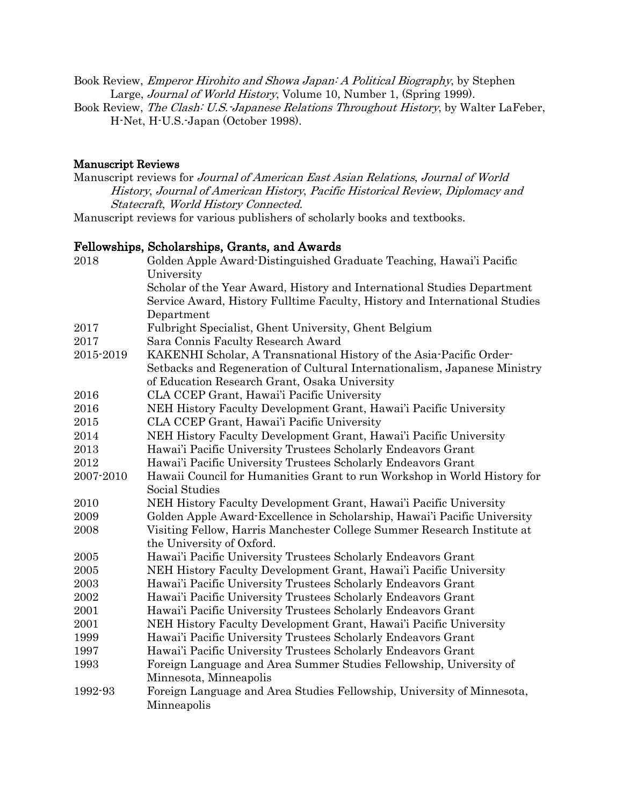Book Review, Emperor Hirohito and Showa Japan: A Political Biography, by Stephen Large, Journal of World History, Volume 10, Number 1, (Spring 1999).

Book Review, The Clash: U.S.-Japanese Relations Throughout History, by Walter LaFeber, H-Net, H-U.S.-Japan (October 1998).

#### Manuscript Reviews

Manuscript reviews for Journal of American East Asian Relations, Journal of World History, Journal of American History, Pacific Historical Review, Diplomacy and Statecraft, World History Connected.

Manuscript reviews for various publishers of scholarly books and textbooks.

#### Fellowships, Scholarships, Grants, and Awards

| 2018      | Golden Apple Award-Distinguished Graduate Teaching, Hawai'i Pacific        |
|-----------|----------------------------------------------------------------------------|
|           | University                                                                 |
|           | Scholar of the Year Award, History and International Studies Department    |
|           | Service Award, History Fulltime Faculty, History and International Studies |
|           | Department                                                                 |
| 2017      | Fulbright Specialist, Ghent University, Ghent Belgium                      |
| 2017      | Sara Connis Faculty Research Award                                         |
| 2015-2019 | KAKENHI Scholar, A Transnational History of the Asia-Pacific Order-        |
|           | Setbacks and Regeneration of Cultural Internationalism, Japanese Ministry  |
|           | of Education Research Grant, Osaka University                              |
| 2016      | CLA CCEP Grant, Hawai'i Pacific University                                 |
| 2016      | NEH History Faculty Development Grant, Hawai'i Pacific University          |
| 2015      | CLA CCEP Grant, Hawai'i Pacific University                                 |
| 2014      | NEH History Faculty Development Grant, Hawai'i Pacific University          |
| 2013      | Hawai'i Pacific University Trustees Scholarly Endeavors Grant              |
| 2012      | Hawai'i Pacific University Trustees Scholarly Endeavors Grant              |
| 2007-2010 | Hawaii Council for Humanities Grant to run Workshop in World History for   |
|           | Social Studies                                                             |
| 2010      | NEH History Faculty Development Grant, Hawai'i Pacific University          |
| 2009      | Golden Apple Award-Excellence in Scholarship, Hawai'i Pacific University   |
| 2008      | Visiting Fellow, Harris Manchester College Summer Research Institute at    |
|           | the University of Oxford.                                                  |
| 2005      | Hawai'i Pacific University Trustees Scholarly Endeavors Grant              |
| 2005      | NEH History Faculty Development Grant, Hawai'i Pacific University          |
| 2003      | Hawai'i Pacific University Trustees Scholarly Endeavors Grant              |
| 2002      | Hawai'i Pacific University Trustees Scholarly Endeavors Grant              |
| 2001      | Hawai'i Pacific University Trustees Scholarly Endeavors Grant              |
| 2001      | NEH History Faculty Development Grant, Hawai'i Pacific University          |
| 1999      | Hawai'i Pacific University Trustees Scholarly Endeavors Grant              |
| 1997      | Hawai'i Pacific University Trustees Scholarly Endeavors Grant              |
| 1993      | Foreign Language and Area Summer Studies Fellowship, University of         |
|           | Minnesota, Minneapolis                                                     |
| 1992-93   | Foreign Language and Area Studies Fellowship, University of Minnesota,     |
|           | Minneapolis                                                                |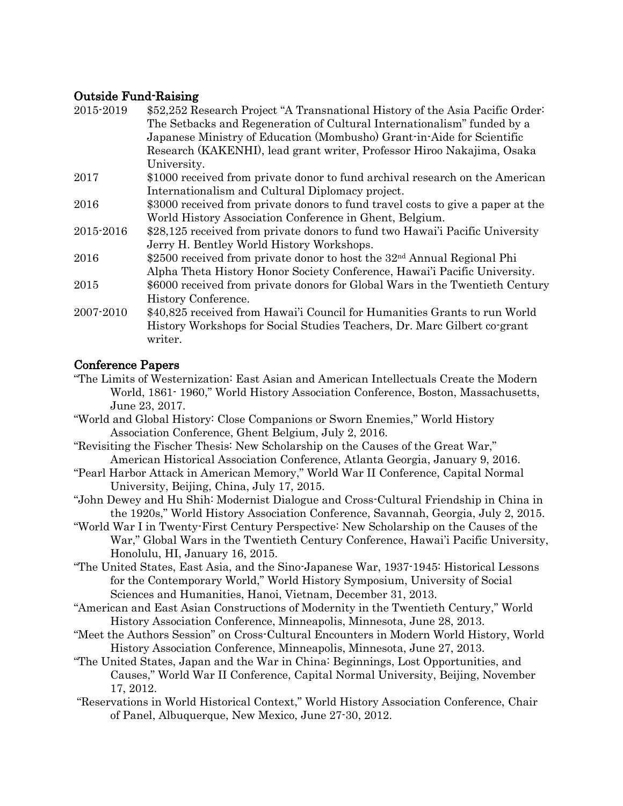## Outside Fund-Raising

| 2015-2019 | \$52,252 Research Project "A Transnational History of the Asia Pacific Order."      |
|-----------|-------------------------------------------------------------------------------------|
|           | The Setbacks and Regeneration of Cultural Internationalism" funded by a             |
|           | Japanese Ministry of Education (Mombusho) Grant-in-Aide for Scientific              |
|           | Research (KAKENHI), lead grant writer, Professor Hiroo Nakajima, Osaka              |
|           | University.                                                                         |
| 2017      | \$1000 received from private donor to fund archival research on the American        |
|           | Internationalism and Cultural Diplomacy project.                                    |
| 2016      | \$3000 received from private donors to fund travel costs to give a paper at the     |
|           | World History Association Conference in Ghent, Belgium.                             |
| 2015-2016 | \$28,125 received from private donors to fund two Hawai'i Pacific University        |
|           | Jerry H. Bentley World History Workshops.                                           |
| 2016      | \$2500 received from private donor to host the 32 <sup>nd</sup> Annual Regional Phi |
|           | Alpha Theta History Honor Society Conference, Hawai'i Pacific University.           |
| 2015      | \$6000 received from private donors for Global Wars in the Twentieth Century        |
|           | History Conference.                                                                 |
| 2007-2010 | \$40,825 received from Hawai'i Council for Humanities Grants to run World           |
|           | History Workshops for Social Studies Teachers, Dr. Marc Gilbert co-grant<br>writer. |
|           |                                                                                     |

## Conference Papers

- "The Limits of Westernization: East Asian and American Intellectuals Create the Modern World, 1861- 1960," World History Association Conference, Boston, Massachusetts, June 23, 2017.
- "World and Global History: Close Companions or Sworn Enemies," World History Association Conference, Ghent Belgium, July 2, 2016.
- "Revisiting the Fischer Thesis: New Scholarship on the Causes of the Great War," American Historical Association Conference, Atlanta Georgia, January 9, 2016.
- "Pearl Harbor Attack in American Memory," World War II Conference, Capital Normal University, Beijing, China, July 17, 2015.
- "John Dewey and Hu Shih: Modernist Dialogue and Cross-Cultural Friendship in China in the 1920s," World History Association Conference, Savannah, Georgia, July 2, 2015.
- "World War I in Twenty-First Century Perspective: New Scholarship on the Causes of the War," Global Wars in the Twentieth Century Conference, Hawai'i Pacific University, Honolulu, HI, January 16, 2015.
- "The United States, East Asia, and the Sino-Japanese War, 1937-1945: Historical Lessons for the Contemporary World," World History Symposium, University of Social Sciences and Humanities, Hanoi, Vietnam, December 31, 2013.
- "American and East Asian Constructions of Modernity in the Twentieth Century," World History Association Conference, Minneapolis, Minnesota, June 28, 2013.
- "Meet the Authors Session" on Cross-Cultural Encounters in Modern World History, World History Association Conference, Minneapolis, Minnesota, June 27, 2013.
- "The United States, Japan and the War in China: Beginnings, Lost Opportunities, and Causes," World War II Conference, Capital Normal University, Beijing, November 17, 2012.
- "Reservations in World Historical Context," World History Association Conference, Chair of Panel, Albuquerque, New Mexico, June 27-30, 2012.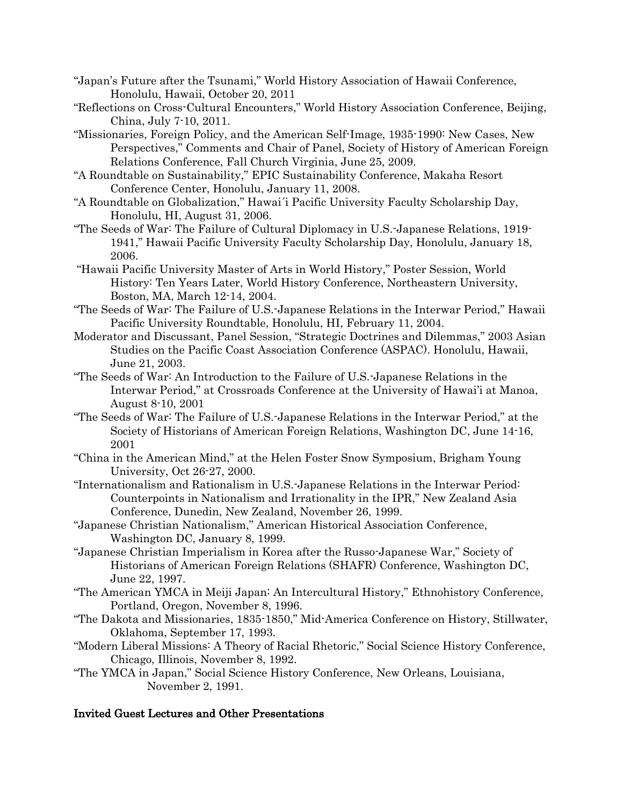- "Japan's Future after the Tsunami," World History Association of Hawaii Conference, Honolulu, Hawaii, October 20, 2011
- "Reflections on Cross-Cultural Encounters," World History Association Conference, Beijing, China, July 7-10, 2011.
- "Missionaries, Foreign Policy, and the American Self-Image, 1935-1990: New Cases, New Perspectives," Comments and Chair of Panel, Society of History of American Foreign Relations Conference, Fall Church Virginia, June 25, 2009.
- "A Roundtable on Sustainability," EPIC Sustainability Conference, Makaha Resort Conference Center, Honolulu, January 11, 2008.
- "A Roundtable on Globalization," Hawai´i Pacific University Faculty Scholarship Day, Honolulu, HI, August 31, 2006.
- "The Seeds of War: The Failure of Cultural Diplomacy in U.S.-Japanese Relations, 1919- 1941," Hawaii Pacific University Faculty Scholarship Day, Honolulu, January 18, 2006.
- "Hawaii Pacific University Master of Arts in World History," Poster Session, World History: Ten Years Later, World History Conference, Northeastern University, Boston, MA, March 12-14, 2004.
- "The Seeds of War: The Failure of U.S.-Japanese Relations in the Interwar Period," Hawaii Pacific University Roundtable, Honolulu, HI, February 11, 2004.
- Moderator and Discussant, Panel Session, "Strategic Doctrines and Dilemmas," 2003 Asian Studies on the Pacific Coast Association Conference (ASPAC). Honolulu, Hawaii, June 21, 2003.
- "The Seeds of War: An Introduction to the Failure of U.S.-Japanese Relations in the Interwar Period," at Crossroads Conference at the University of Hawai'i at Manoa, August 8-10, 2001
- "The Seeds of War: The Failure of U.S.-Japanese Relations in the Interwar Period," at the Society of Historians of American Foreign Relations, Washington DC, June 14-16, 2001
- "China in the American Mind," at the Helen Foster Snow Symposium, Brigham Young University, Oct 26-27, 2000.
- "Internationalism and Rationalism in U.S.-Japanese Relations in the Interwar Period: Counterpoints in Nationalism and Irrationality in the IPR," New Zealand Asia Conference, Dunedin, New Zealand, November 26, 1999.
- "Japanese Christian Nationalism," American Historical Association Conference, Washington DC, January 8, 1999.
- "Japanese Christian Imperialism in Korea after the Russo-Japanese War," Society of Historians of American Foreign Relations (SHAFR) Conference, Washington DC, June 22, 1997.
- "The American YMCA in Meiji Japan: An Intercultural History," Ethnohistory Conference, Portland, Oregon, November 8, 1996.
- "The Dakota and Missionaries, 1835-1850," Mid-America Conference on History, Stillwater, Oklahoma, September 17, 1993.
- "Modern Liberal Missions: A Theory of Racial Rhetoric," Social Science History Conference, Chicago, Illinois, November 8, 1992.
- "The YMCA in Japan," Social Science History Conference, New Orleans, Louisiana, November 2, 1991.

### Invited Guest Lectures and Other Presentations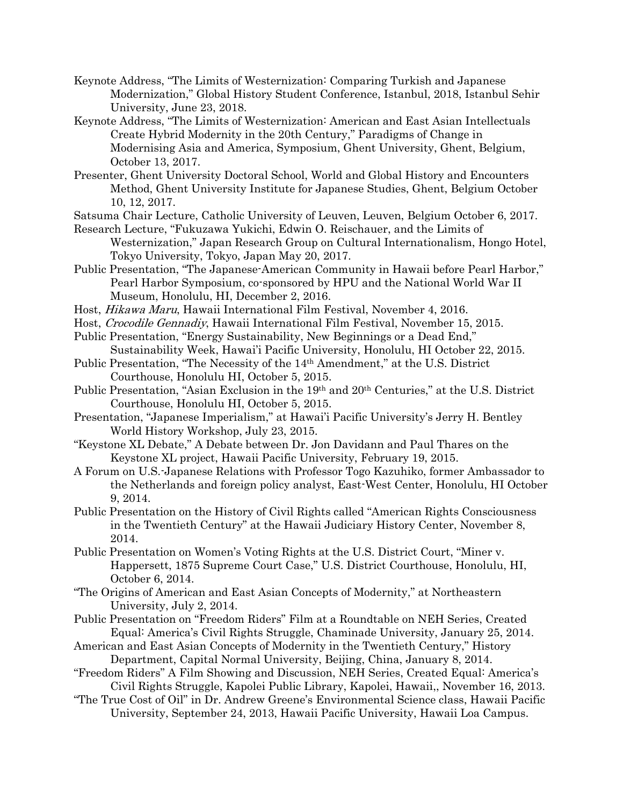- Keynote Address, "The Limits of Westernization: Comparing Turkish and Japanese Modernization," Global History Student Conference, Istanbul, 2018, Istanbul Sehir University, June 23, 2018.
- Keynote Address, "The Limits of Westernization: American and East Asian Intellectuals Create Hybrid Modernity in the 20th Century," Paradigms of Change in Modernising Asia and America, Symposium, Ghent University, Ghent, Belgium, October 13, 2017.
- Presenter, Ghent University Doctoral School, World and Global History and Encounters Method, Ghent University Institute for Japanese Studies, Ghent, Belgium October 10, 12, 2017.
- Satsuma Chair Lecture, Catholic University of Leuven, Leuven, Belgium October 6, 2017.
- Research Lecture, "Fukuzawa Yukichi, Edwin O. Reischauer, and the Limits of Westernization," Japan Research Group on Cultural Internationalism, Hongo Hotel, Tokyo University, Tokyo, Japan May 20, 2017.
- Public Presentation, "The Japanese-American Community in Hawaii before Pearl Harbor," Pearl Harbor Symposium, co-sponsored by HPU and the National World War II Museum, Honolulu, HI, December 2, 2016.
- Host, Hikawa Maru, Hawaii International Film Festival, November 4, 2016.
- Host, Crocodile Gennadiy, Hawaii International Film Festival, November 15, 2015.
- Public Presentation, "Energy Sustainability, New Beginnings or a Dead End," Sustainability Week, Hawai'i Pacific University, Honolulu, HI October 22, 2015.
- Public Presentation, "The Necessity of the 14th Amendment," at the U.S. District Courthouse, Honolulu HI, October 5, 2015.
- Public Presentation, "Asian Exclusion in the 19th and 20th Centuries," at the U.S. District Courthouse, Honolulu HI, October 5, 2015.
- Presentation, "Japanese Imperialism," at Hawai'i Pacific University's Jerry H. Bentley World History Workshop, July 23, 2015.
- "Keystone XL Debate," A Debate between Dr. Jon Davidann and Paul Thares on the Keystone XL project, Hawaii Pacific University, February 19, 2015.
- A Forum on U.S.-Japanese Relations with Professor Togo Kazuhiko, former Ambassador to the Netherlands and foreign policy analyst, East-West Center, Honolulu, HI October 9, 2014.
- Public Presentation on the History of Civil Rights called "American Rights Consciousness in the Twentieth Century" at the Hawaii Judiciary History Center, November 8, 2014.
- Public Presentation on Women's Voting Rights at the U.S. District Court, "Miner v. Happersett, 1875 Supreme Court Case," U.S. District Courthouse, Honolulu, HI, October 6, 2014.
- "The Origins of American and East Asian Concepts of Modernity," at Northeastern University, July 2, 2014.
- Public Presentation on "Freedom Riders" Film at a Roundtable on NEH Series, Created Equal: America's Civil Rights Struggle, Chaminade University, January 25, 2014.
- American and East Asian Concepts of Modernity in the Twentieth Century," History Department, Capital Normal University, Beijing, China, January 8, 2014.
- "Freedom Riders" A Film Showing and Discussion, NEH Series, Created Equal: America's Civil Rights Struggle, Kapolei Public Library, Kapolei, Hawaii,, November 16, 2013.
- "The True Cost of Oil" in Dr. Andrew Greene's Environmental Science class, Hawaii Pacific University, September 24, 2013, Hawaii Pacific University, Hawaii Loa Campus.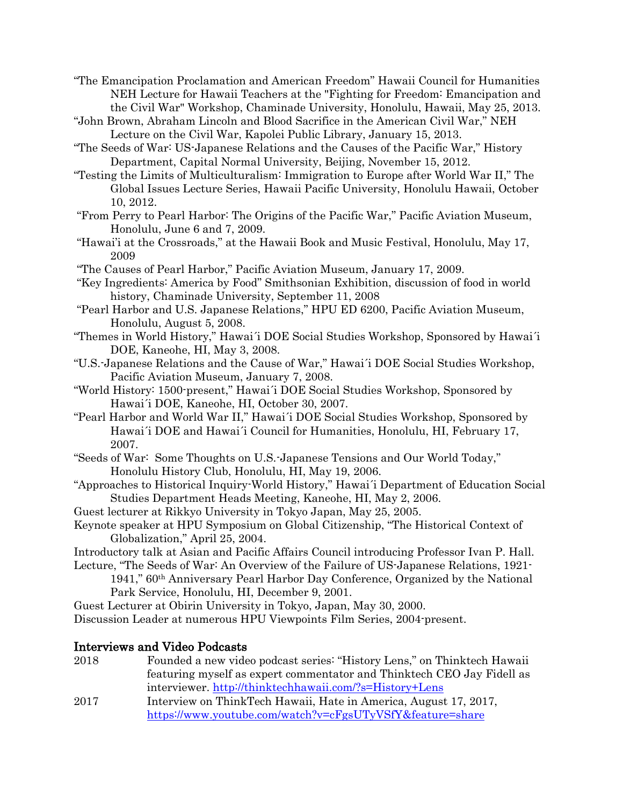- "The Emancipation Proclamation and American Freedom" Hawaii Council for Humanities NEH Lecture for Hawaii Teachers at the "Fighting for Freedom: Emancipation and the Civil War" Workshop, Chaminade University, Honolulu, Hawaii, May 25, 2013.
- "John Brown, Abraham Lincoln and Blood Sacrifice in the American Civil War," NEH Lecture on the Civil War, Kapolei Public Library, January 15, 2013.
- "The Seeds of War: US-Japanese Relations and the Causes of the Pacific War," History Department, Capital Normal University, Beijing, November 15, 2012.
- "Testing the Limits of Multiculturalism: Immigration to Europe after World War II," The Global Issues Lecture Series, Hawaii Pacific University, Honolulu Hawaii, October 10, 2012.
- "From Perry to Pearl Harbor: The Origins of the Pacific War," Pacific Aviation Museum, Honolulu, June 6 and 7, 2009.
- "Hawai'i at the Crossroads," at the Hawaii Book and Music Festival, Honolulu, May 17, 2009
- "The Causes of Pearl Harbor," Pacific Aviation Museum, January 17, 2009.
- "Key Ingredients: America by Food" Smithsonian Exhibition, discussion of food in world history, Chaminade University, September 11, 2008
- "Pearl Harbor and U.S. Japanese Relations," HPU ED 6200, Pacific Aviation Museum, Honolulu, August 5, 2008.
- "Themes in World History," Hawai´i DOE Social Studies Workshop, Sponsored by Hawai´i DOE, Kaneohe, HI, May 3, 2008.
- "U.S.-Japanese Relations and the Cause of War," Hawai´i DOE Social Studies Workshop, Pacific Aviation Museum, January 7, 2008.
- "World History: 1500-present," Hawai´i DOE Social Studies Workshop, Sponsored by Hawai´i DOE, Kaneohe, HI, October 30, 2007.
- "Pearl Harbor and World War II," Hawai´i DOE Social Studies Workshop, Sponsored by Hawai´i DOE and Hawai´i Council for Humanities, Honolulu, HI, February 17, 2007.
- "Seeds of War: Some Thoughts on U.S.-Japanese Tensions and Our World Today," Honolulu History Club, Honolulu, HI, May 19, 2006.
- "Approaches to Historical Inquiry-World History," Hawai´i Department of Education Social Studies Department Heads Meeting, Kaneohe, HI, May 2, 2006.
- Guest lecturer at Rikkyo University in Tokyo Japan, May 25, 2005.
- Keynote speaker at HPU Symposium on Global Citizenship, "The Historical Context of Globalization," April 25, 2004.
- Introductory talk at Asian and Pacific Affairs Council introducing Professor Ivan P. Hall. Lecture, "The Seeds of War: An Overview of the Failure of US-Japanese Relations, 1921-
	- 1941," 60th Anniversary Pearl Harbor Day Conference, Organized by the National Park Service, Honolulu, HI, December 9, 2001.

Guest Lecturer at Obirin University in Tokyo, Japan, May 30, 2000.

Discussion Leader at numerous HPU Viewpoints Film Series, 2004-present.

#### Interviews and Video Podcasts

- 2018 Founded a new video podcast series: "History Lens," on Thinktech Hawaii featuring myself as expert commentator and Thinktech CEO Jay Fidell as interviewer. http://thinktechhawaii.com/?s=History+Lens
- 2017 Interview on ThinkTech Hawaii, Hate in America, August 17, 2017, https://www.youtube.com/watch?v=cFgsUTyVSfY&feature=share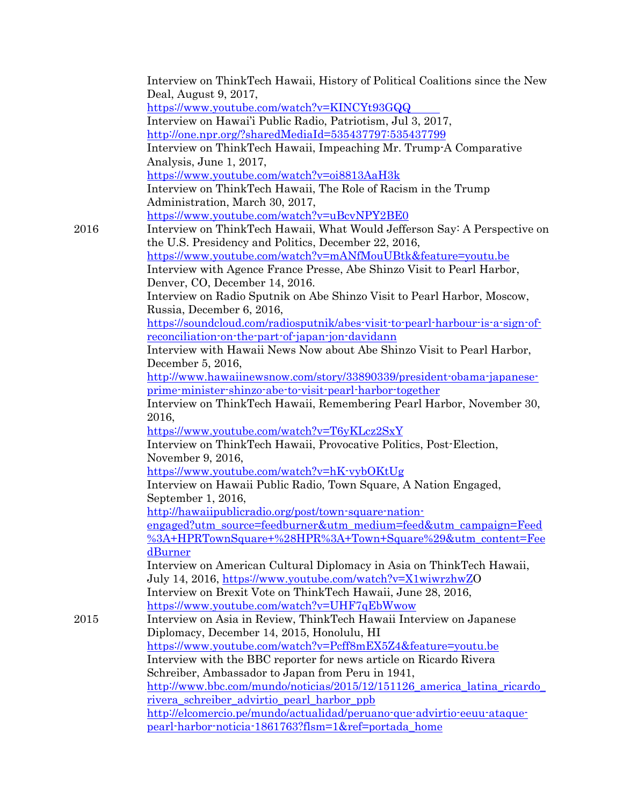|      | Interview on ThinkTech Hawaii, History of Political Coalitions since the New  |
|------|-------------------------------------------------------------------------------|
|      | Deal, August 9, 2017,                                                         |
|      | https://www.youtube.com/watch?v=KINCYt93GQQ                                   |
|      | Interview on Hawai'i Public Radio, Patriotism, Jul 3, 2017,                   |
|      | http://one.npr.org/?sharedMediaId=535437797:535437799                         |
|      | Interview on ThinkTech Hawaii, Impeaching Mr. Trump-A Comparative             |
|      | Analysis, June 1, 2017,                                                       |
|      | https://www.youtube.com/watch?v=oi8813AaH3k                                   |
|      | Interview on ThinkTech Hawaii, The Role of Racism in the Trump                |
|      | Administration, March 30, 2017,                                               |
|      | https://www.youtube.com/watch?v=uBcvNPY2BE0                                   |
| 2016 | Interview on ThinkTech Hawaii, What Would Jefferson Say: A Perspective on     |
|      | the U.S. Presidency and Politics, December 22, 2016,                          |
|      | https://www.youtube.com/watch?v=mANfMouUBtk&feature=youtu.be                  |
|      | Interview with Agence France Presse, Abe Shinzo Visit to Pearl Harbor,        |
|      | Denver, CO, December 14, 2016.                                                |
|      | Interview on Radio Sputnik on Abe Shinzo Visit to Pearl Harbor, Moscow,       |
|      | Russia, December 6, 2016,                                                     |
|      | https://soundcloud.com/radiosputnik/abes-visit-to-pearl-harbour-is-a-sign-of- |
|      | reconciliation on the part of japan jon davidann                              |
|      | Interview with Hawaii News Now about Abe Shinzo Visit to Pearl Harbor,        |
|      | December 5, 2016,                                                             |
|      | http://www.hawaiinewsnow.com/story/33890339/president-obama-japanese-         |
|      | prime-minister-shinzo-abe-to-visit-pearl-harbor-together                      |
|      | Interview on ThinkTech Hawaii, Remembering Pearl Harbor, November 30,         |
|      | 2016,                                                                         |
|      | https://www.youtube.com/watch?v=T6yKLcz2SxY                                   |
|      | Interview on ThinkTech Hawaii, Provocative Politics, Post-Election,           |
|      | November 9, 2016,                                                             |
|      | https://www.youtube.com/watch?v=hK-vybOKtUg                                   |
|      | Interview on Hawaii Public Radio, Town Square, A Nation Engaged,              |
|      | September 1, 2016,                                                            |
|      | http://hawaiipublicradio.org/post/town-square-nation-                         |
|      | engaged?utm_source=feedburner&utm_medium=feed&utm_campaign=Feed               |
|      | %3A+HPRTownSquare+%28HPR%3A+Town+Square%29&utm_content=Fee                    |
|      | dBurner                                                                       |
|      | Interview on American Cultural Diplomacy in Asia on ThinkTech Hawaii,         |
|      | July 14, 2016, https://www.youtube.com/watch?v=X1wiwrzhwZO                    |
|      | Interview on Brexit Vote on ThinkTech Hawaii, June 28, 2016,                  |
|      | https://www.youtube.com/watch?v=UHF7qEbWwow                                   |
| 2015 | Interview on Asia in Review, ThinkTech Hawaii Interview on Japanese           |
|      | Diplomacy, December 14, 2015, Honolulu, HI                                    |
|      | https://www.youtube.com/watch?v=Pcff8mEX5Z4&feature=youtu.be                  |
|      | Interview with the BBC reporter for news article on Ricardo Rivera            |
|      | Schreiber, Ambassador to Japan from Peru in 1941,                             |
|      | http://www.bbc.com/mundo/noticias/2015/12/151126 america latina ricardo       |
|      | rivera schreiber advirtio pearl harbor ppb                                    |
|      | http://elcomercio.pe/mundo/actualidad/peruano-que-advirtio-eeuu-ataque-       |
|      | pearl-harbor-noticia-1861763?flsm=1&ref=portada_home                          |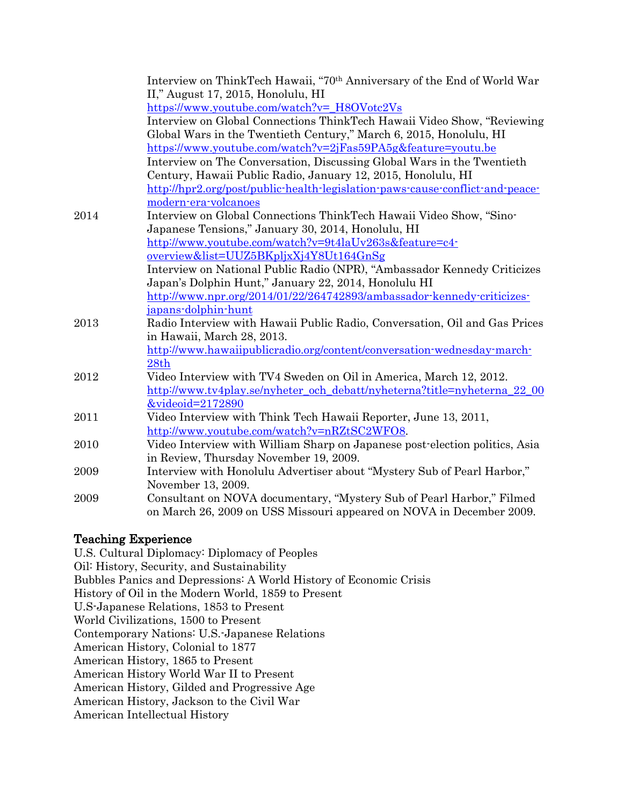|      | Interview on ThinkTech Hawaii, "70th Anniversary of the End of World War<br>II," August 17, 2015, Honolulu, HI                                 |
|------|------------------------------------------------------------------------------------------------------------------------------------------------|
|      | https://www.youtube.com/watch?v=_H8OVotc2Vs                                                                                                    |
|      | Interview on Global Connections ThinkTech Hawaii Video Show, "Reviewing"<br>Global Wars in the Twentieth Century," March 6, 2015, Honolulu, HI |
|      | https://www.youtube.com/watch?v=2jFas59PA5g&feature=youtu.be                                                                                   |
|      | Interview on The Conversation, Discussing Global Wars in the Twentieth                                                                         |
|      | Century, Hawaii Public Radio, January 12, 2015, Honolulu, HI                                                                                   |
|      | http://hpr2.org/post/public-health-legislation-paws-cause-conflict-and-peace-                                                                  |
|      | modern-era-volcanoes                                                                                                                           |
| 2014 | Interview on Global Connections ThinkTech Hawaii Video Show, "Sino-                                                                            |
|      | Japanese Tensions," January 30, 2014, Honolulu, HI                                                                                             |
|      | http://www.youtube.com/watch?v=9t4laUv263s&feature=c4-                                                                                         |
|      | overview&list=UUZ5BKpljxXj4Y8Ut164GnSg                                                                                                         |
|      | Interview on National Public Radio (NPR), "Ambassador Kennedy Criticizes                                                                       |
|      | Japan's Dolphin Hunt," January 22, 2014, Honolulu HI                                                                                           |
|      | http://www.npr.org/2014/01/22/264742893/ambassador-kennedy-criticizes-                                                                         |
|      | japans-dolphin-hunt                                                                                                                            |
| 2013 | Radio Interview with Hawaii Public Radio, Conversation, Oil and Gas Prices<br>in Hawaii, March 28, 2013.                                       |
|      | http://www.hawaiipublicradio.org/content/conversation-wednesday-march-                                                                         |
|      | 28th                                                                                                                                           |
| 2012 | Video Interview with TV4 Sweden on Oil in America, March 12, 2012.                                                                             |
|      | http://www.tv4play.se/nyheter_och_debatt/nyheterna?title=nyheterna_22_00                                                                       |
|      | &videoid=2172890                                                                                                                               |
| 2011 | Video Interview with Think Tech Hawaii Reporter, June 13, 2011,                                                                                |
|      | http://www.youtube.com/watch?v=nRZtSC2WFO8.                                                                                                    |
| 2010 | Video Interview with William Sharp on Japanese post-election politics, Asia                                                                    |
|      | in Review, Thursday November 19, 2009.                                                                                                         |
| 2009 | Interview with Honolulu Advertiser about "Mystery Sub of Pearl Harbor,"                                                                        |
|      | November 13, 2009.                                                                                                                             |
| 2009 | Consultant on NOVA documentary, "Mystery Sub of Pearl Harbor," Filmed                                                                          |
|      | on March 26, 2009 on USS Missouri appeared on NOVA in December 2009.                                                                           |

#### Teaching Experience

U.S. Cultural Diplomacy: Diplomacy of Peoples Oil: History, Security, and Sustainability Bubbles Panics and Depressions: A World History of Economic Crisis History of Oil in the Modern World, 1859 to Present U.S-Japanese Relations, 1853 to Present World Civilizations, 1500 to Present Contemporary Nations: U.S.-Japanese Relations American History, Colonial to 1877 American History, 1865 to Present American History World War II to Present American History, Gilded and Progressive Age American History, Jackson to the Civil War American Intellectual History